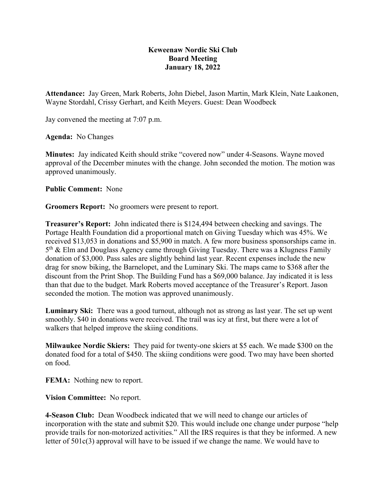## **Keweenaw Nordic Ski Club Board Meeting January 18, 2022**

**Attendance:** Jay Green, Mark Roberts, John Diebel, Jason Martin, Mark Klein, Nate Laakonen, Wayne Stordahl, Crissy Gerhart, and Keith Meyers. Guest: Dean Woodbeck

Jay convened the meeting at 7:07 p.m.

**Agenda:** No Changes

**Minutes:** Jay indicated Keith should strike "covered now" under 4-Seasons. Wayne moved approval of the December minutes with the change. John seconded the motion. The motion was approved unanimously.

**Public Comment:** None

**Groomers Report:** No groomers were present to report.

**Treasurer's Report:** John indicated there is \$124,494 between checking and savings. The Portage Health Foundation did a proportional match on Giving Tuesday which was 45%. We received \$13,053 in donations and \$5,900 in match. A few more business sponsorships came in.  $5<sup>th</sup>$  & Elm and Douglass Agency came through Giving Tuesday. There was a Klugness Family donation of \$3,000. Pass sales are slightly behind last year. Recent expenses include the new drag for snow biking, the Barnelopet, and the Luminary Ski. The maps came to \$368 after the discount from the Print Shop. The Building Fund has a \$69,000 balance. Jay indicated it is less than that due to the budget. Mark Roberts moved acceptance of the Treasurer's Report. Jason seconded the motion. The motion was approved unanimously.

**Luminary Ski:** There was a good turnout, although not as strong as last year. The set up went smoothly. \$40 in donations were received. The trail was icy at first, but there were a lot of walkers that helped improve the skiing conditions.

**Milwaukee Nordic Skiers:** They paid for twenty-one skiers at \$5 each. We made \$300 on the donated food for a total of \$450. The skiing conditions were good. Two may have been shorted on food.

**FEMA:** Nothing new to report.

**Vision Committee:** No report.

**4-Season Club:** Dean Woodbeck indicated that we will need to change our articles of incorporation with the state and submit \$20. This would include one change under purpose "help provide trails for non-motorized activities." All the IRS requires is that they be informed. A new letter of 501c(3) approval will have to be issued if we change the name. We would have to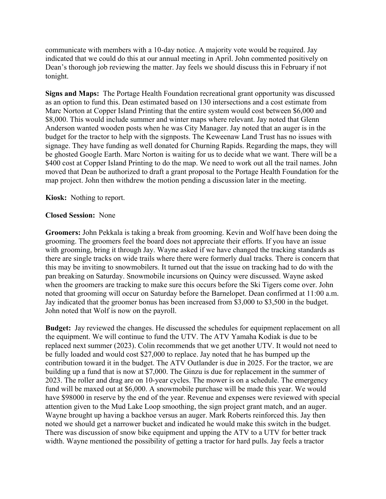communicate with members with a 10-day notice. A majority vote would be required. Jay indicated that we could do this at our annual meeting in April. John commented positively on Dean's thorough job reviewing the matter. Jay feels we should discuss this in February if not tonight.

**Signs and Maps:** The Portage Health Foundation recreational grant opportunity was discussed as an option to fund this. Dean estimated based on 130 intersections and a cost estimate from Marc Norton at Copper Island Printing that the entire system would cost between \$6,000 and \$8,000. This would include summer and winter maps where relevant. Jay noted that Glenn Anderson wanted wooden posts when he was City Manager. Jay noted that an auger is in the budget for the tractor to help with the signposts. The Keweenaw Land Trust has no issues with signage. They have funding as well donated for Churning Rapids. Regarding the maps, they will be ghosted Google Earth. Marc Norton is waiting for us to decide what we want. There will be a \$400 cost at Copper Island Printing to do the map. We need to work out all the trail names. John moved that Dean be authorized to draft a grant proposal to the Portage Health Foundation for the map project. John then withdrew the motion pending a discussion later in the meeting.

**Kiosk:** Nothing to report.

## **Closed Session:** None

**Groomers:** John Pekkala is taking a break from grooming. Kevin and Wolf have been doing the grooming. The groomers feel the board does not appreciate their efforts. If you have an issue with grooming, bring it through Jay. Wayne asked if we have changed the tracking standards as there are single tracks on wide trails where there were formerly dual tracks. There is concern that this may be inviting to snowmobilers. It turned out that the issue on tracking had to do with the pan breaking on Saturday. Snowmobile incursions on Quincy were discussed. Wayne asked when the groomers are tracking to make sure this occurs before the Ski Tigers come over. John noted that grooming will occur on Saturday before the Barnelopet. Dean confirmed at 11:00 a.m. Jay indicated that the groomer bonus has been increased from \$3,000 to \$3,500 in the budget. John noted that Wolf is now on the payroll.

**Budget:** Jay reviewed the changes. He discussed the schedules for equipment replacement on all the equipment. We will continue to fund the UTV. The ATV Yamaha Kodiak is due to be replaced next summer (2023). Colin recommends that we get another UTV. It would not need to be fully loaded and would cost \$27,000 to replace. Jay noted that he has bumped up the contribution toward it in the budget. The ATV Outlander is due in 2025. For the tractor, we are building up a fund that is now at \$7,000. The Ginzu is due for replacement in the summer of 2023. The roller and drag are on 10-year cycles. The mower is on a schedule. The emergency fund will be maxed out at \$6,000. A snowmobile purchase will be made this year. We would have \$98000 in reserve by the end of the year. Revenue and expenses were reviewed with special attention given to the Mud Lake Loop smoothing, the sign project grant match, and an auger. Wayne brought up having a backhoe versus an auger. Mark Roberts reinforced this. Jay then noted we should get a narrower bucket and indicated he would make this switch in the budget. There was discussion of snow bike equipment and upping the ATV to a UTV for better track width. Wayne mentioned the possibility of getting a tractor for hard pulls. Jay feels a tractor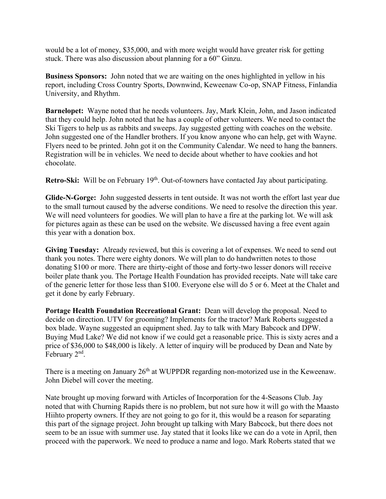would be a lot of money, \$35,000, and with more weight would have greater risk for getting stuck. There was also discussion about planning for a 60" Ginzu.

**Business Sponsors:** John noted that we are waiting on the ones highlighted in yellow in his report, including Cross Country Sports, Downwind, Keweenaw Co-op, SNAP Fitness, Finlandia University, and Rhythm.

**Barnelopet:** Wayne noted that he needs volunteers. Jay, Mark Klein, John, and Jason indicated that they could help. John noted that he has a couple of other volunteers. We need to contact the Ski Tigers to help us as rabbits and sweeps. Jay suggested getting with coaches on the website. John suggested one of the Handler brothers. If you know anyone who can help, get with Wayne. Flyers need to be printed. John got it on the Community Calendar. We need to hang the banners. Registration will be in vehicles. We need to decide about whether to have cookies and hot chocolate.

**Retro-Ski:** Will be on February 19<sup>th</sup>. Out-of-towners have contacted Jay about participating.

**Glide-N-Gorge:** John suggested desserts in tent outside. It was not worth the effort last year due to the small turnout caused by the adverse conditions. We need to resolve the direction this year. We will need volunteers for goodies. We will plan to have a fire at the parking lot. We will ask for pictures again as these can be used on the website. We discussed having a free event again this year with a donation box.

**Giving Tuesday:** Already reviewed, but this is covering a lot of expenses. We need to send out thank you notes. There were eighty donors. We will plan to do handwritten notes to those donating \$100 or more. There are thirty-eight of those and forty-two lesser donors will receive boiler plate thank you. The Portage Health Foundation has provided receipts. Nate will take care of the generic letter for those less than \$100. Everyone else will do 5 or 6. Meet at the Chalet and get it done by early February.

**Portage Health Foundation Recreational Grant:** Dean will develop the proposal. Need to decide on direction. UTV for grooming? Implements for the tractor? Mark Roberts suggested a box blade. Wayne suggested an equipment shed. Jay to talk with Mary Babcock and DPW. Buying Mud Lake? We did not know if we could get a reasonable price. This is sixty acres and a price of \$36,000 to \$48,000 is likely. A letter of inquiry will be produced by Dean and Nate by February 2nd.

There is a meeting on January  $26<sup>th</sup>$  at WUPPDR regarding non-motorized use in the Keweenaw. John Diebel will cover the meeting.

Nate brought up moving forward with Articles of Incorporation for the 4-Seasons Club. Jay noted that with Churning Rapids there is no problem, but not sure how it will go with the Maasto Hiihto property owners. If they are not going to go for it, this would be a reason for separating this part of the signage project. John brought up talking with Mary Babcock, but there does not seem to be an issue with summer use. Jay stated that it looks like we can do a vote in April, then proceed with the paperwork. We need to produce a name and logo. Mark Roberts stated that we